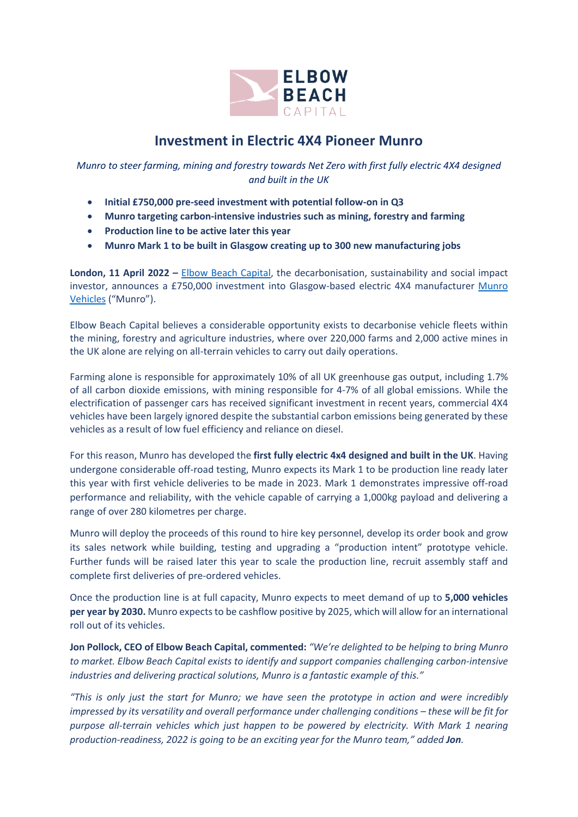

## **Investment in Electric 4X4 Pioneer Munro**

*Munro to steer farming, mining and forestry towards Net Zero with first fully electric 4X4 designed and built in the UK*

- **Initial £750,000 pre-seed investment with potential follow-on in Q3**
- **Munro targeting carbon-intensive industries such as mining, forestry and farming**
- **Production line to be active later this year**
- **Munro Mark 1 to be built in Glasgow creating up to 300 new manufacturing jobs**

**London, 11 April 2022 –** [Elbow Beach Capital,](https://elbowbeachcapital.com/) the decarbonisation, sustainability and social impact investor, announces a £750,000 investment into Glasgow-based electric 4X4 manufacturer Munro [Vehicles](http://www.munro-ev.com/) ("Munro").

Elbow Beach Capital believes a considerable opportunity exists to decarbonise vehicle fleets within the mining, forestry and agriculture industries, where over 220,000 farms and 2,000 active mines in the UK alone are relying on all-terrain vehicles to carry out daily operations.

Farming alone is responsible for approximately 10% of all UK greenhouse gas output, including 1.7% of all carbon dioxide emissions, with mining responsible for 4-7% of all global emissions. While the electrification of passenger cars has received significant investment in recent years, commercial 4X4 vehicles have been largely ignored despite the substantial carbon emissions being generated by these vehicles as a result of low fuel efficiency and reliance on diesel.

For this reason, Munro has developed the **first fully electric 4x4 designed and built in the UK**. Having undergone considerable off-road testing, Munro expects its Mark 1 to be production line ready later this year with first vehicle deliveries to be made in 2023. Mark 1 demonstrates impressive off-road performance and reliability, with the vehicle capable of carrying a 1,000kg payload and delivering a range of over 280 kilometres per charge.

Munro will deploy the proceeds of this round to hire key personnel, develop its order book and grow its sales network while building, testing and upgrading a "production intent" prototype vehicle. Further funds will be raised later this year to scale the production line, recruit assembly staff and complete first deliveries of pre-ordered vehicles.

Once the production line is at full capacity, Munro expects to meet demand of up to **5,000 vehicles per year by 2030.** Munro expects to be cashflow positive by 2025, which will allow for an international roll out of its vehicles.

**Jon Pollock, CEO of Elbow Beach Capital, commented:** *"We're delighted to be helping to bring Munro to market. Elbow Beach Capital exists to identify and support companies challenging carbon-intensive industries and delivering practical solutions, Munro is a fantastic example of this."* 

*"This is only just the start for Munro; we have seen the prototype in action and were incredibly impressed by its versatility and overall performance under challenging conditions – these will be fit for purpose all-terrain vehicles which just happen to be powered by electricity. With Mark 1 nearing production-readiness, 2022 is going to be an exciting year for the Munro team," added Jon.*